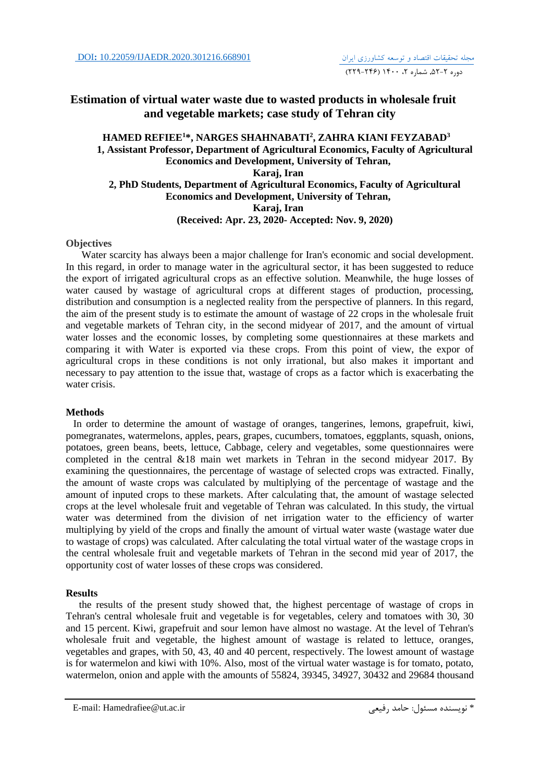# **Estimation of virtual water waste due to wasted products in wholesale fruit and vegetable markets; case study of Tehran city**

## **HAMED REFIEE<sup>1</sup>\*, NARGES SHAHNABATI<sup>2</sup> , ZAHRA KIANI FEYZABAD<sup>3</sup> 1, Assistant Professor, Department of Agricultural Economics, Faculty of Agricultural Economics and Development, University of Tehran, Karaj, Iran 2, PhD Students, Department of Agricultural Economics, Faculty of Agricultural Economics and Development, University of Tehran, Karaj, Iran (Received: Apr. 23, 2020- Accepted: Nov. 9, 2020)**

### **Objectives**

Water scarcity has always been a major challenge for Iran's economic and social development. In this regard, in order to manage water in the agricultural sector, it has been suggested to reduce the export of irrigated agricultural crops as an effective solution. Meanwhile, the huge losses of water caused by wastage of agricultural crops at different stages of production, processing, distribution and consumption is a neglected reality from the perspective of planners. In this regard, the aim of the present study is to estimate the amount of wastage of 22 crops in the wholesale fruit and vegetable markets of Tehran city, in the second midyear of 2017, and the amount of virtual water losses and the economic losses, by completing some questionnaires at these markets and comparing it with Water is exported via these crops. From this point of view, the expor of agricultural crops in these conditions is not only irrational, but also makes it important and necessary to pay attention to the issue that, wastage of crops as a factor which is exacerbating the water crisis.

## **Methods**

 In order to determine the amount of wastage of oranges, tangerines, lemons, grapefruit, kiwi, pomegranates, watermelons, apples, pears, grapes, cucumbers, tomatoes, eggplants, squash, onions, potatoes, green beans, beets, lettuce, Cabbage, celery and vegetables, some questionnaires were completed in the central &18 main wet markets in Tehran in the second midyear 2017. By examining the questionnaires, the percentage of wastage of selected crops was extracted. Finally, the amount of waste crops was calculated by multiplying of the percentage of wastage and the amount of inputed crops to these markets. After calculating that, the amount of wastage selected crops at the level wholesale fruit and vegetable of Tehran was calculated. In this study, the virtual water was determined from the division of net irrigation water to the efficiency of warter multiplying by yield of the crops and finally the amount of virtual water waste (wastage water due to wastage of crops) was calculated. After calculating the total virtual water of the wastage crops in the central wholesale fruit and vegetable markets of Tehran in the second mid year of 2017, the opportunity cost of water losses of these crops was considered.

### **Results**

the results of the present study showed that, the highest percentage of wastage of crops in Tehran's central wholesale fruit and vegetable is for vegetables, celery and tomatoes with 30, 30 and 15 percent. Kiwi, grapefruit and sour lemon have almost no wastage. At the level of Tehran's wholesale fruit and vegetable, the highest amount of wastage is related to lettuce, oranges, vegetables and grapes, with 50, 43, 40 and 40 percent, respectively. The lowest amount of wastage is for watermelon and kiwi with 10%. Also, most of the virtual water wastage is for tomato, potato, watermelon, onion and apple with the amounts of 55824, 39345, 34927, 30432 and 29684 thousand

E-mail: Hamedrafiee@ut.ac.ir رفیعی حامد :مسئول نويسنده\*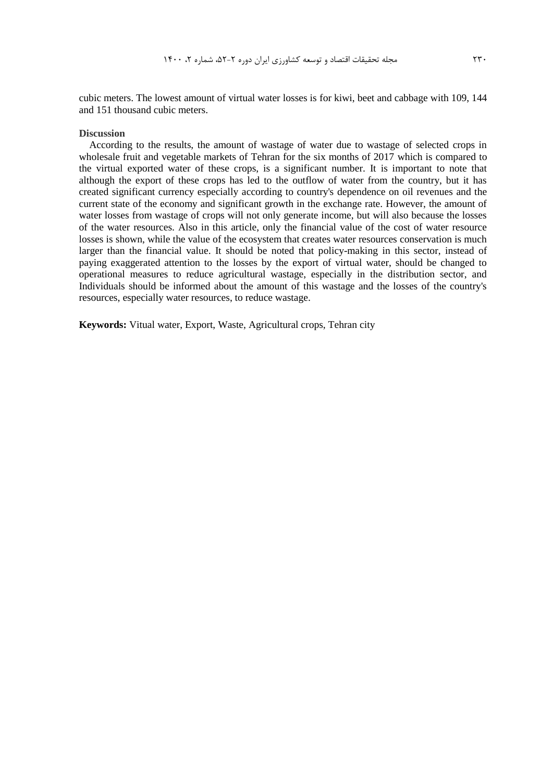cubic meters. The lowest amount of virtual water losses is for kiwi, beet and cabbage with 109, 144 and 151 thousand cubic meters.

### **Discussion**

 According to the results, the amount of wastage of water due to wastage of selected crops in wholesale fruit and vegetable markets of Tehran for the six months of 2017 which is compared to the virtual exported water of these crops, is a significant number. It is important to note that although the export of these crops has led to the outflow of water from the country, but it has created significant currency especially according to country's dependence on oil revenues and the current state of the economy and significant growth in the exchange rate. However, the amount of water losses from wastage of crops will not only generate income, but will also because the losses of the water resources. Also in this article, only the financial value of the cost of water resource losses is shown, while the value of the ecosystem that creates water resources conservation is much larger than the financial value. It should be noted that policy-making in this sector, instead of paying exaggerated attention to the losses by the export of virtual water, should be changed to operational measures to reduce agricultural wastage, especially in the distribution sector, and Individuals should be informed about the amount of this wastage and the losses of the country's resources, especially water resources, to reduce wastage.

**Keywords:** Vitual water, Export, Waste, Agricultural crops, Tehran city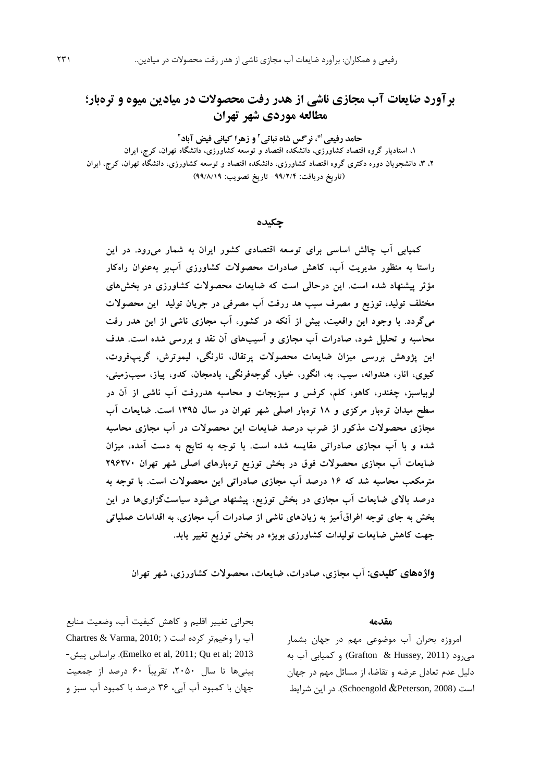# **برآورد ضایعات آب مجازی ناشی از هدر رفت محصوالت در میادین میوه و ترهبار؛ مطالعه موردی شهر تهران**

**2 و زهرا کیانی فیض آباد 1\*، نرگس شاه نباتی<sup>2</sup> حامد رفیعی**

**،1 استادیار گروه اقتصاد کشاورزی، دانشکده اقتصاد و توسعه کشاورزی، دانشگاه تهران، کرج، ایران ،2 ،3 دانشجویان دوره دکتری گروه اقتصاد کشاورزی، دانشکده اقتصاد و توسعه کشاورزی، دانشگاه تهران، کرج، ایران )تاریخ دریافت: -99/2/4 تاریخ تصویب: 99/8/19(**

### **چکیده**

**کمیابی آب چالش اساسی برای توسعه اقتصادی کشور ایران به شمار میرود. در این راستا به منظور مدیریت آب، کاهش صادرات محصوالت کشاورزی آببر بهعنوان راهکار مؤثر پیشنهاد شده است. این درحالی است که ضایعات محصوالت کشاورزی در بخشهای مختلف تولید، توزیع و مصرف سبب هد ررفت آب مصرفی در جریان تولید این محصوالت میگردد. با وجود این واقعیت، بیش از آنکه در کشور، آب مجازی ناشی از این هدر رفت محاسبه و تحلیل شود، صادرات آب مجازی و آسیبهای آن نقد و بررسی شده است. هدف این پژوهش بررسی میزان ضایعات محصوالت پرتقال، نارنگی، لیموترش، گریپفروت، کیوی، انار، هندوانه، سیب، به، انگور، خیار، گوجهفرنگی، بادمجان، کدو، پیاز، سیبزمینی، لوبیاسبز، چغندر، کاهو، کلم، کرفس و سبزیجات و محاسبه هدررفت آب ناشی از آن در سطح میدان ترهبار مرکزی و 18 ترهبار اصلی شهر تهران در سال 1395 است. ضایعات آب مجازی محصوالت مذکور از ضرب درصد ضایعات این محصوالت در آب مجازی محاسبه شده و با آب مجازی صادراتی مقایسه شده است. با توجه به نتایج به دست آمده، میزان ضایعات آب مجازی محصوالت فوق در بخش توزیع ترهبارهای اصلی شهر تهران 296270 مترمکعب محاسبه شد که 16 درصد آب مجازی صادراتی این محصوالت است. با توجه به درصد باالی ضایعات آب مجازی در بخش توزیع، پیشنهاد میشود سیاستگزاریها در این بخش به جای توجه اغراقآمیز به زیانهای ناشی از صادرات آب مجازی، به اقدامات عملیاتی جهت کاهش ضایعات تولیدات کشاورزی بویژه در بخش توزیع تغییر یابد.** 

**واژههای کلیدی: آب مجازی، صادرات، ضایعات، محصوالت کشاورزی، شهر تهران**

بحرانی تغییر اقلیم و کاهش کیفیت آب، وضعیت منابع Chartres & Varma,  $2010$ ; ) آب را وخیمتر کرده است -پیش براساس .(Emelko et al, 2011; Qu et al; 2013 بینیها تا سال ،2050 تقريباً 60 درصد از جمعیت جهان با کمبود آب آبی، 36 درصد با کمبود آب سبز و

#### **مقدمه**

امروزه بحران آب موضوعی مهم در جهان بشمار میرود )2011 ,Hussey & Grafton )و کمیابی آب به دلیل عدم تعادل عرضه و تقاضا، از مسائل مهم در جهان است )2008 ,Peterson &Schoengold). در اين شرايط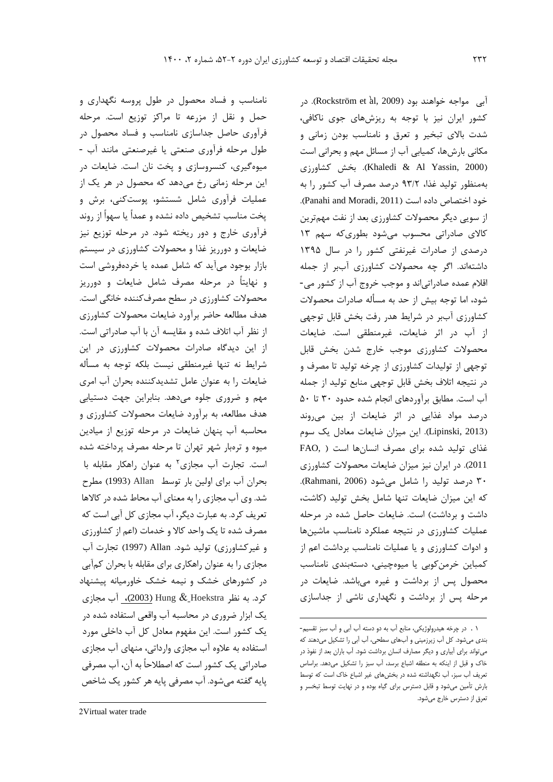نامناسب و فساد محصول در طول پروسه نگهداري و حمل و نقل از مزرعه تا مراکز توزيع است. مرحله فرآوري حاصل جداسازي نامناسب و فساد محصول در طول مرحله فرآوري صنعتی يا غیرصنعتی مانند آب - میوهگیري، کنسروسازي و پخت نان است. ضايعات در اين مرحله زمانی رخ میدهد که محصول در هر يک از عملیات فرآوري شامل شستشو، پوستکنی، برش و پخت مناسب تشخیص داده نشده و عمداً يا سهواً از روند فرآوري خارج و دور ريخته شود. در مرحله توزيع نیز ضايعات و دورريز غذا و محصوالت کشاورزي در سیستم بازار بوجود میآيد که شامل عمده يا خردهفروشی است و نهايتاً در مرحله مصرف شامل ضايعات و دورريز محصوالت کشاورزي در سطح مصرفکننده خانگی است. هدف مطالعه حاضر برآورد ضايعات محصوالت کشاورزي از نظر آب اتالف شده و مقايسه آن با آب صادراتی است. از اين ديدگاه صادرات محصوالت کشاورزي در اين شرايط نه تنها غیرمنطقی نیست بلکه توجه به مسأله ضايعات را به عنوان عامل تشديدکننده بحران آب امري مهم و ضروري جلوه میدهد. بنابراين جهت دستیابی هدف مطالعه، به برآورد ضايعات محصوالت کشاورزي و محاسبه آب پنهان ضايعات در مرحله توزيع از میادين میوه و ترهبار شهر تهران تا مرحله مصرف پرداخته شده است. تجارت آب مجازی<sup>۲</sup> به عنوان راهکار مقابله با بحران آب براي اولین بار توسط Allan( 1993 )مطرح شد. وي آب مجازي را به معناي آب محاط شده در کاالها تعريف کرد. به عبارت ديگر، آب مجازي کل آبی است که مصرف شده تا يک واحد کاال و خدمات )اعم از کشاورزي و غیرکشاورزي( تولید شود. Allan( 1997 )تجارت آب مجازي را به عنوان راهکاري براي مقابله با بحران کمآبی در کشورهاي خشک و نیمه خشک خاورمیانه پیشنهاد کرد. به نظر [Hoekstra](#page-16-0) & Hung( <sup>2003</sup>)، آب مجازي يک ابزار ضروري در محاسبه آب واقعی استفاده شده در يک کشور است. اين مفهوم معادل کل آب داخلی مورد استفاده به عالوه آب مجازي وارداتی، منهاي آب مجازي صادراتی يک کشور است که اصطالحاً به آن، آب مصرفی پايه گفته میشود. آب مصرفی پايه هر کشور يک شاخص

آبی ًمواجه خواهند بود (Rockström et àl, 2009). در کشور ايران نیز با توجه به ريزشهاي جوي ناکافی، شدت باالي تبخیر و تعرق و نامناسب بودن زمانی و مکانی بارشها، کمیابی آب از مسائل مهم و بحرانی است کشاورزي بخش .(Khaledi & Al Yassin, 2000( بهمنظور تولید غذا، 93/2 درصد مصرف آب کشور را به خود اختصاص داده است )2011 ,Moradi and Panahi). از سويی ديگر محصوالت کشاورزي بعد از نفت مهمترين کاالي صادراتی محسوب میشود بطوريکه سهم 13 درصدي از صادرات غیرنفتی کشور را در سال 1395 داشتهاند. اگر چه محصوالت کشاورزي آببر از جمله اقالم عمده صادراتیاند و موجب خروج آب از کشور می- شود، اما توجه بیش از حد به مسأله صادرات محصوالت کشاورزي آببر در شرايط هدر رفت بخش قابل توجهی از آب در اثر ضايعات، غیرمنطقی است. ضايعات محصوالت کشاورزي موجب خارج شدن بخش قابل توجهی از تولیدات کشاورزي از چرخه تولید تا مصرف و در نتیجه اتالف بخش قابل توجهی منابع تولید از جمله آب است. مطابق برآوردهاي انجام شده حدود 30 تا 50 درصد مواد غذايی در اثر ضايعات از بین میروند )2013 ,Lipinski). اين میزان ضايعات معادل يک سوم غذاي تولید شده براي مصرف انسانها است ) ,FAO 2011(. در ايران نیز میزان ضايعات محصوالت کشاورزي 30 درصد تولید را شامل میشود )2006 ,Rahmani). که اين میزان ضايعات تنها شامل بخش تولید )کاشت، داشت و برداشت) است. ضايعات حاصل شده در مرحله عملیات کشاورزي در نتیجه عملکرد نامناسب ماشینها و ادوات کشاورزي و يا عملیات نامناسب برداشت اعم از کمباين خرمنکوبی يا میوهچینی، دستهبندي نامناسب محصول پس از برداشت و غیره میباشد. ضايعات در مرحله پس از برداشت و نگهداري ناشی از جداسازي

 $\overline{a}$ 

 $\overline{a}$ 

<sup>1</sup> . در چرخه هیدرولوژیکی، منابع آب به دو دسته آب آبی و آب سبز تقسیم- بندی میشود. کل آب زیرزمینی و آبهای سطحی، آب آبی را تشکیل میدهند که میتواند برای آبیاری و دیگر مصارف انسان برداشت شود. آب باران بعد از نفوذ در خاک و قبل از اینکه به منطقه اشباع برسد، آب سبز را تشکیل میدهد. براساس تعریف آب سبز، آب نگهداشته شده در بخشهای غیر اشباع خاک است که توسط بارش تأمین میشود و قابل دسترس برای گیاه بوده و در نهایت توسط تبخسر و تعرق از دسترس خارج میشود.

<sup>2</sup>Virtual water trade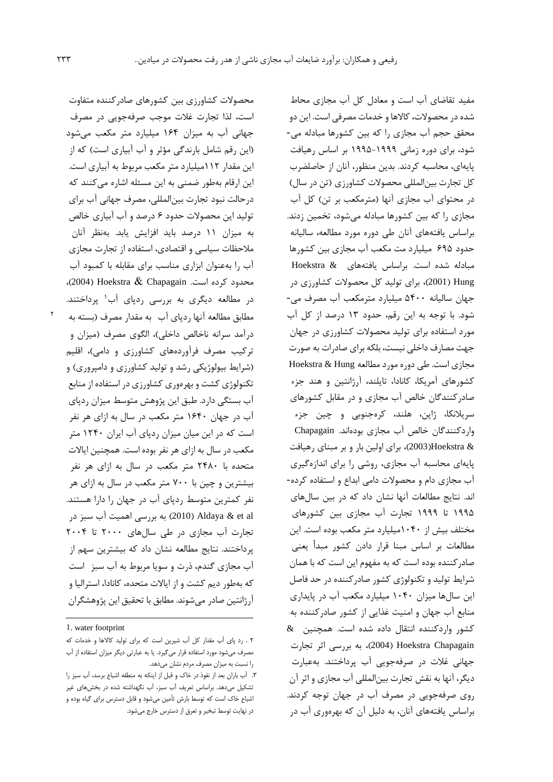محصوالت کشاورزي بین کشورهاي صادرکننده متفاوت است، لذا تجارت غالت موجب صرفهجويی در مصرف جهانی آب به میزان 164 میلیارد متر مکعب میشود (اين رقم شامل بارندگی مؤثر و آب آبياري است) كه از اين مقدار 112میلیارد متر مکعب مربوط به آبیاري است. اين ارقام بهطور ضمنی به اين مسئله اشاره میکنند که درحالت نبود تجارت بینالمللی، مصرف جهانی آب براي تولید اين محصوالت حدود 6 درصد و آب آبیاري خالص به میزان 11 درصد بايد افزايش يابد. بهنظر آنان مالحظات سیاسی و اقتصادي، استفاده از تجارت مجازي آب را بهعنوان ابزاري مناسب براي مقابله با کمبود آب محدود کرده است. Chapagain & Hoekstra( <sup>2004</sup>)، در مطالعه ديگري به بررسي ردپاي آب<sup>۱</sup> پرداختند. مطابق مطالعه آنها ردپاي آب به مقدار مصرف )بسته به درآمد سرانه ناخالص داخلی)، الگوی مصرف (میزان و ترکیب مصرف فرآوردههای کشاورزی و دامی)، اقلیم )شرايط بیولوژيکی رشد و تولید کشاورزي و دامپروري( و تکنولوژي کشت و بهرهوري کشاورزي در استفاده از منابع آب بستگی دارد. طبق اين پژوهش متوسط میزان ردپاي آب در جهان 1640 متر مکعب در سال به ازاي هر نفر است که در اين میان میزان ردپاي آب ايران 1240 متر مکعب در سال به ازاي هر نفر بوده است. همچنین اياالت متحده با 2480 متر مکعب در سال به ازاي هر نفر بیشترين و چین با 700 متر مکعب در سال به ازاي هر نفر کمترين متوسط ردپاي آب در جهان را دارا هستند. al et & Aldaya( 2010 )به بررسی اهمیت آب سبز در تجارت آب مجازي در طی سالهاي 2000 تا 2004 پرداختند. نتايج مطالعه نشان داد که بیشترين سهم از آب مجازي گندم، ذرت و سويا مربوط به آب سبز است که بهطور ديم کشت و از اياالت متحده، کانادا، استرالیا و آرژانتین صادر میشوند. مطابق با تحقیق اين پژوهشگران

 $\overline{a}$ 

مفید تقاضاي آب است و معادل کل آب مجازي محاط شده در محصولات، کالاها و خدمات مصرفی است. اين دو محقق حجم آب مجازي را که بین کشورها مبادله می- شود، براي دوره زمانی 1995-1999 بر اساس رهیافت پايهاي، محاسبه کردند. بدين منظور، آنان از حاصلضرب کل تجارت بینالمللی محصوالت کشاورزي )تن در سال( در محتواي آب مجازي آنها )مترمکعب بر تن( کل آب مجازي را که بین کشورها مبادله میشود، تخمین زدند. براساس يافتههاي آنان طی دوره مورد مطالعه، سالیانه حدود 695 میلیارد مت مکعب آب مجازي بین کشورها مبادله شده است. براساس يافتههاي & Hoekstra Hung( 2001)، براي تولید کل محصوالت کشاورزي در جهان سالیانه 5400 میلیارد مترمکعب آب مصرف می- شود. با توجه به اين رقم، حدود 13 درصد از کل آب مورد استفاده براي تولید محصوالت کشاورزي در جهان جهت مصارف داخلی نیست، بلکه براي صادرات به صورت مجازي است. طي دوره مورد مطالعه Hoekstra & Hung کشورهاي آمريکا، کانادا، تايلند، آرژانتین و هند جزء صادرکنندگان خالص آب مجازي و در مقابل کشورهاي سريالنکا، ژاپن، هلند، کرهجنوبی و چین جزء واردکنندگان خالص آب مجازي بودهاند. Chapagain & Hoekstra(2003)، براي اولین بار و بر مبناي رهیافت پايهاي محاسبه آب مجازي، روشی را براي اندازهگیري آب مجازي دام و محصوالت دامی ابداع و استفاده کرده- اند. نتايج مطالعات آنها نشان داد که در بین سالهاي 1995 تا 1999 تجارت آب مجازي بین کشورهاي مختلف بیش از 1040میلیارد متر مکعب بوده است. اين مطالعات بر اساس مبنا قرار دادن کشور مبدأ يعنی صادرکننده بوده است که به مفهوم اين است که با همان شرايط تولید و تکنولوژي کشور صادرکننده در حد فاصل اين سالها میزان 1040 میلیارد مکعب آب در پايداري منابع آب جهان و امنیت غذايی از کشور صادرکننده به کشور واردکننده انتقال داده شده است. همچنین & Chapagain Hoekstra( 2004)، به بررسی اثر تجارت جهانی غالت در صرفهجويی آب پرداختند. بهعبارت ديگر، آنها به نقش تجارت بینالمللی آب مجازي و اثر آن روي صرفهجويی در مصرف آب در جهان توجه کردند. براساس يافتههاي آنان، به دلیل آن که بهرهوري آب در

٢

<sup>1</sup>. water footprint

<sup>2</sup> . رد پای آب مقدار کل آب شیرین است که برای تولید کاالها و خدمات که مصرف میشود مورد استفاده قرار میگیرد. یا به عبارتی دیگر میزان استفاده از آب را نسبت به میزان مصرف مردم نشان میدهد.

<sup>.3</sup> آب باران بعد از نفوذ در خاک و قبل از اینکه به منطقه اشباع برسد، آب سبز را تشکیل میدهد. براساس تعریف آب سبز، آب نگهداشته شده در بخشهای غیر اشباع خاک است که توسط بارش تأمین میشود و قابل دسترس برای گیاه بوده و در نهایت توسط تبخیر و تعرق از دسترس خارج میشود.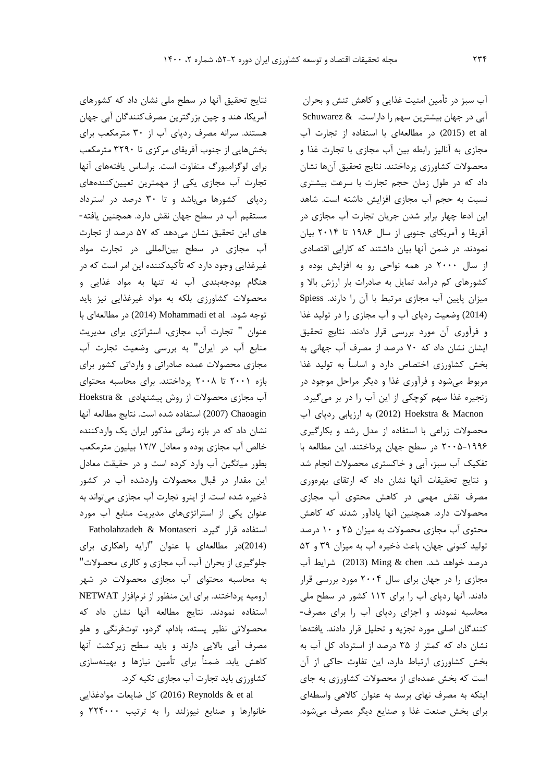نتايج تحقیق آنها در سطح ملی نشان داد که کشورهاي آمريکا، هند و چین بزرگترين مصرفکنندگان آبی جهان هستند. سرانه مصرف ردپاي آب از 30 مترمکعب براي بخشهايی از جنوب آفريقاي مرکزي تا 3290 مترمکعب براي لوگزامبورگ متفاوت است. براساس يافتههاي آنها تجارت آب مجازي يکی از مهمترين تعیینکنندههاي ردپاي کشورها میباشد و تا 30 درصد در استرداد مستقیم آب در سطح جهان نقش دارد. همچنین يافته- هاي اين تحقیق نشان میدهد که 57 درصد از تجارت آب مجازي در سطح بینالمللی در تجارت مواد غیرغذايی وجود دارد که تأکیدکننده اين امر است که در هنگام بودجهبندي آب نه تنها به مواد غذايی و محصوالت کشاورزي بلکه به مواد غیرغذايی نیز بايد توجه شود. Mohammadi et al (2014) در مطالعهاي با عنوان " تجارت آب مجازي، استراتژي براي مديريت منابع آب در ايران" به بررسی وضعیت تجارت آب مجازي محصوالت عمده صادراتی و وارداتی کشور براي بازه 2001 تا 2008 پرداختند. براي محاسبه محتواي آب مجازي محصوالت از روش پیشنهادي & Hoekstra Chaoagin) 2007 (استفاده شده است. نتايج مطالعه آنها نشان داد که در بازه زمانی مذکور ايران يک واردکننده خالص آب مجازي بوده و معادل 12/7 بیلیون مترمکعب بطور میانگین آب وارد کرده است و در حقیقت معادل اين مقدار در قبال محصوالت واردشده آب در کشور ذخیره شده است. از اينرو تجارت آب مجازي میتواند به عنوان يکی از استراتژيهاي مديريت منابع آب مورد استفاده قرار گیرد. Montaseri & Fatholahzadeh (2014)در مطالعهاي با عنوان "ارايه راهکاري براي جلوگیري از بحران آب، آب مجازي و کالري محصوالت" به محاسبه محتواي آب مجازي محصوالت در شهر ارومیه پرداختند. براي اين منظور از نرمافزار NETWAT استفاده نمودند. نتايج مطالعه آنها نشان داد که محصوالتی نظیر پسته، بادام، گردو، توتفرنگی و هلو مصرف آبی بااليی دارند و بايد سطح زيرکشت آنها کاهش يابد. ضمناً براي تأمین نیازها و بهینهسازي کشاورزي بايد تجارت آب مجازي تکیه کرد.

al et & Reynolds( 2016 )کل ضايعات موادغذايی خانوارها و صنايع نیوزلند را به ترتیب 224000 و

آب سبز در تأمین امنیت غذايی و کاهش تنش و بحران آبی در جهان بیشترين سهم را داراست. & Schuwarez al et( 2015 )در مطالعهاي با استفاده از تجارت آب مجازي به آنالیز رابطه بین آب مجازي با تجارت غذا و محصوالت کشاورزي پرداختند. نتايج تحقیق آنها نشان داد که در طول زمان حجم تجارت با سرعت بیشتري نسبت به حجم آب مجازي افزايش داشته است. شاهد اين ادعا چهار برابر شدن جريان تجارت آب مجازي در آفريقا و آمريکاي جنوبی از سال 1986 تا 2014 بیان نمودند. در ضمن آنها بیان داشتند که کارايی اقتصادي از سال 2000 در همه نواحی رو به افزايش بوده و کشورهاي کم درآمد تمايل به صادرات بار ارزش باال و میزان پايین آب مجازي مرتبط با آن را دارند. Spiess (2014) وضعیت ردپاي آب و آب مجازي را در تولید غذا و فرآوري آن مورد بررسی قرار دادند. نتايج تحقیق ايشان نشان داد که 70 درصد از مصرف آب جهانی به بخش کشاورزي اختصاص دارد و اساساً به تولید غذا مربوط میشود و فرآوري غذا و ديگر مراحل موجود در زنجیره غذا سهم کوچکی از اين آب را در بر میگیرد. Macnon & Hoekstra) 2012 (به ارزيابی ردپاي آب محصوالت زراعی با استفاده از مدل رشد و بکارگیري 2005-1996 در سطح جهان پرداختند. اين مطالعه با تفکیک آب سبز، آبی و خاکستري محصوالت انجام شد و نتايج تحقیقات آنها نشان داد که ارتقاي بهرهوري مصرف نقش مهمی در کاهش محتوي آب مجازي محصوالت دارد. همچنین آنها يادآور شدند که کاهش محتوي آب مجازي محصوالت به میزان 25 و 10 درصد تولید کنونی جهان، باعث ذخیره آب به میزان 39 و 52 درصد خواهد شد. chen & Ming) 2013 (شرايط آب مجازي را در جهان براي سال 2004 مورد بررسی قرار دادند. آنها ردپاي آب را براي 112 کشور در سطح ملی محاسبه نمودند و اجزاي ردپاي آب را براي مصرف- کنندگان اصلی مورد تجزيه و تحلیل قرار دادند. يافتهها نشان داد که کمتر از 35 درصد از استرداد کل آب به بخش کشاورزي ارتباط دارد، اين تفاوت حاکی از آن است که بخش عمدهاي از محصوالت کشاورزي به جاي اينکه به مصرف نهاي برسد به عنوان کاالهی واسطهاي براي بخش صنعت غذا و صنايع ديگر مصرف میشود.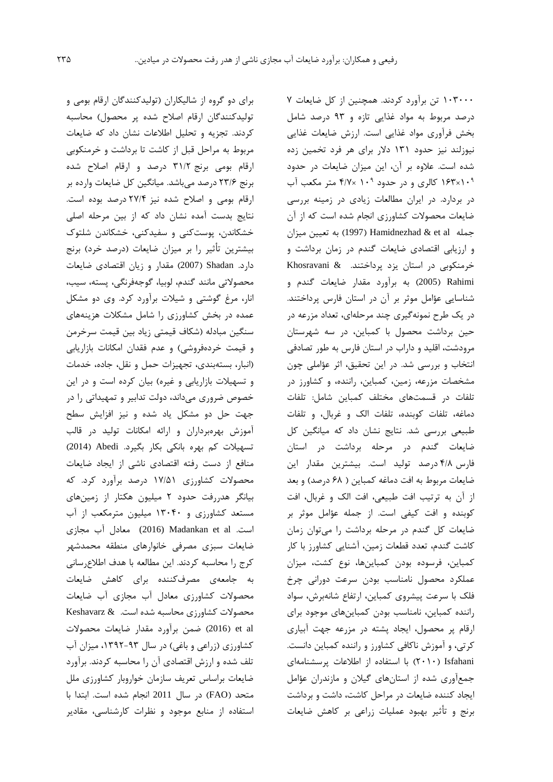براي دو گروه از شالیکاران )تولیدکنندگان ارقام بومی و تولیدکنندگان ارقام اصلاح شده پر محصول) محاسبه کردند. تجزيه و تحلیل اطالعات نشان داد که ضايعات مربوط به مراحل قبل از کاشت تا برداشت و خرمنکوبی ارقام بومی برنج 31/2 درصد و ارقام اصالح شده برنج 23/6 درصد میباشد. میانگین کل ضايعات وارده بر ارقام بومی و اصالح شده نیز 27/4 درصد بوده است. نتايج بدست آمده نشان داد که از بین مرحله اصلی خشکاندن، پوستکنی و سفیدکنی، خشکاندن شلتوک بیشترين تأثیر را بر میزان ضايعات )درصد خرد( برنج دارد. Shadan( 2007 )مقدار و زيان اقتصادي ضايعات محصوالتی مانند گندم، لوبیا، گوجهفرنگی، پسته، سیب، انار، مرغ گوشتی و شیالت برآورد کرد. وي دو مشکل عمده در بخش کشاورزي را شامل مشکالت هزينههاي سنگین مبادله )شکاف قیمتی زياد بین قیمت سرخرمن و قیمت خردهفروشی) و عدم فقدان امکانات بازاریابی )انبار، بستهبندي، تجهیزات حمل و نقل، جاده، خدمات و تسهیلات بازاریابی و غیره) بیان کرده است و در این خصوص ضروري میداند، دولت تدابیر و تمهیداتی را در جهت حل دو مشکل ياد شده و نیز افزايش سطح آموزش بهرهبرداران و ارائه امکانات تولید در قالب تسهیالت کم بهره بانکی بکار بگیرد. Abedi( 2014 ) منافع از دست رفته اقتصادي ناشی از ايجاد ضايعات محصوالت کشاورزي 17/51 درصد برآورد کرد. که بیانگر هدررفت حدود 2 میلیون هکتار از زمینهاي مستعد کشاورزي و 13040 میلیون مترمکعب از آب است. al et Madankan) 2016 (معادل آب مجازي ضايعات سبزي مصرفی خانوارهاي منطقه محمدشهر کرج را محاسبه کردند. اين مطالعه با هدف اطالعرسانی به جامعهي مصرفکننده براي کاهش ضايعات محصوالت کشاورزي معادل آب مجازي آب ضايعات محصوالت کشاورزي محاسبه شده است. & Keshavarz al et( 2016 )ضمن برآورد مقدار ضايعات محصوالت کشاورزی (زراعی و باغی) در سال ۹۳-۱۳۹۲، میزان آب تلف شده و ارزش اقتصادي آن را محاسبه کردند. برآورد ضايعات براساس تعريف سازمان خواروبار کشاورزي ملل متحد )FAO )در سال 2011 انجام شده است. ابتدا با استفاده از منابع موجود و نظرات کارشناسی، مقادير

103000 تن برآورد کردند. همچنین از کل ضايعات 7 درصد مربوط به مواد غذايی تازه و 93 درصد شامل بخش فرآوري مواد غذايی است. ارزش ضايعات غذايی نیوزلند نیز حدود 131 دالر براي هر فرد تخمین زده شده است. عالوه بر آن، اين میزان ضايعات در حدود 9 <sup>9</sup> 10×163 کالري و در حدود 10 ×4/7 متر مکعب آب در بردارد. در ايران مطالعات زيادي در زمینه بررسی ضايعات محصوالت کشاورزي انجام شده است که از آن جمله Hamidnezhad & et al (1997) به تعیین میزان و ارزيابی اقتصادي ضايعات گندم در زمان برداشت و خرمنکوبی در استان يزد پرداختند. & Khosravani Rahimi( 2005 )به برآورد مقدار ضايعات گندم و شناسايی عؤامل موثر بر آن در استان فارس پرداختند. در يک طرح نمونهگیري چند مرحلهاي، تعداد مزرعه در حین برداشت محصول با کمباين، در سه شهرستان مرودشت، اقلید و داراب در استان فارس به طور تصادفی انتخاب و بررسی شد. در اين تحقیق، اثر عؤاملی چون مشخصات مزرعه، زمین، کمباين، راننده، و کشاورز در تلفات در قسمتهاي مختلف کمباين شامل: تلفات دماغه، تلفات کوبنده، تلفات الک و غربال، و تلفات طبیعی بررسی شد. نتايج نشان داد که میانگین کل ضايعات گندم در مرحله برداشت در استان فارس 4/8 درصد تولید است. بیشترين مقدار اين ضايعات مربوط به افت دماغه كمباين ( ۶۸ درصد) و بعد از آن به ترتیب افت طبیعی، افت الک و غربال، افت کوبنده و افت کیفی است. از جمله عؤامل موثر بر ضايعات کل گندم در مرحله برداشت را میتوان زمان کاشت گندم، تعدد قطعات زمین، آشنايی کشاورز با کار کمباين، فرسوده بودن کمباينها، نوع کشت، میزان عملکرد محصول نامناسب بودن سرعت دورانی چرخ فلک با سرعت پیشروي کمباين، ارتفاع شانهبرش، سواد راننده کمباين، نامناسب بودن کمباينهاي موجود براي ارقام پر محصول، ايجاد پشته در مزرعه جهت آبیاري کرتی، و آموزش ناکافی کشاورز و راننده کمباين دانست. Isfahani( 2010 )با استفاده از اطالعات پرسشنامهاي جمعآوري شده از استانهاي گیالن و مازندران عؤامل ايجاد کننده ضايعات در مراحل کاشت، داشت و برداشت برنج و تأثیر بهبود عملیات زراعی بر کاهش ضايعات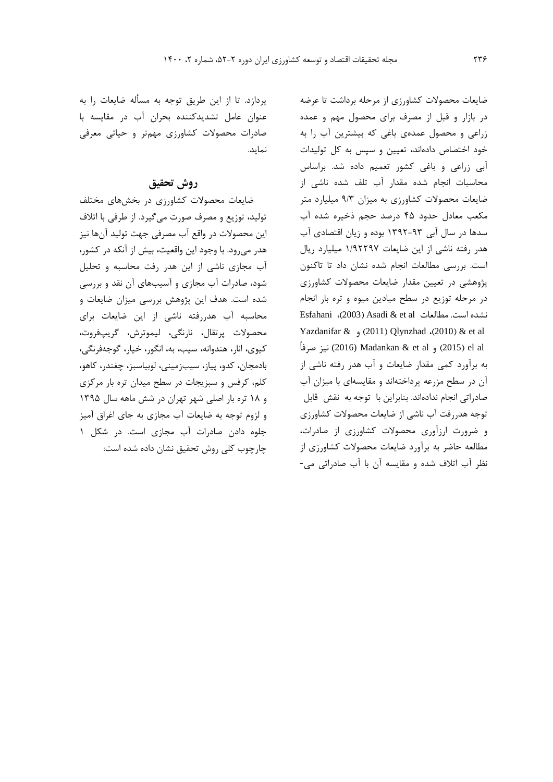ضايعات محصوالت کشاورزي از مرحله برداشت تا عرضه در بازار و قبل از مصرف براي محصول مهم و عمده زراعی و محصول عمدهي باغی که بیشترين آب را به خود اختصاص دادهاند، تعیین و سپس به کل تولیدات آبی زراعی و باغی کشور تعمیم داده شد. براساس محاسبات انجام شده مقدار آب تلف شده ناشی از ضايعات محصوالت کشاورزي به میزان 9/3 میلیارد متر مکعب معادل حدود 45 درصد حجم ذخیره شده آب سدها در سال آبی 1392-93 بوده و زيان اقتصادي آب هدر رفته ناشی از اين ضايعات 1/92297 میلیارد ريال است. بررسی مطالعات انجام شده نشان داد تا تاکنون پژوهشی در تعیین مقدار ضايعات محصوالت کشاورزي در مرحله توزيع در سطح میادين میوه و تره بار انجام Esfahani (2003) Asadi & et al نشده است. مطالعات  $\mathbb{R}$  et al مطالعات Yazdanifar & (2011) Qlynzhad ،(2010) & et al انیز صرفاً (2015) و Madankan & et al و (2016) نیز صرفاً به برآورد کمی مقدار ضايعات و آب هدر رفته ناشی از آن در سطح مزرعه پرداختهاند و مقايسهاي با میزان آب صادراتی انجام ندادهاند. بنابراين با توجه به نقش قابل توجه هدررفت آب ناشی از ضايعات محصوالت کشاورزي و ضرورت ارزآوري محصوالت کشاورزي از صادرات، مطالعه حاضر به برآورد ضايعات محصوالت کشاورزي از نظر آب اتالف شده و مقايسه آن با آب صادراتی می-

پردازد. تا از اين طريق توجه به مسأله ضايعات را به عنوان عامل تشديدکننده بحران آب در مقايسه با صادرات محصوالت کشاورزي مهمتر و حیاتی معرفی نمايد.

# **روش تحقیق**

ضايعات محصوالت کشاورزي در بخشهاي مختلف تولید، توزيع و مصرف صورت میگیرد. از طرفی با اتالف اين محصوالت در واقع آب مصرفی جهت تولید آنها نیز هدر میرود. با وجود اين واقعیت، بیش از آنکه در کشور، آب مجازي ناشی از اين هدر رفت محاسبه و تحلیل شود، صادرات آب مجازي و آسیبهاي آن نقد و بررسی شده است. هدف اين پژوهش بررسی میزان ضايعات و محاسبه آب هدررفته ناشی از اين ضايعات براي محصوالت پرتقال، نارنگی، لیموترش، گريپفروت، کیوي، انار، هندوانه، سیب، به، انگور، خیار، گوجهفرنگی، بادمجان، کدو، پیاز، سیبزمینی، لوبیاسبز، چغندر، کاهو، کلم، کرفس و سبزيجات در سطح میدان تره بار مرکزي و 18 تره بار اصلی شهر تهران در شش ماهه سال 1395 و لزوم توجه به ضايعات آب مجازي به جاي اغراق آمیز جلوه دادن صادرات آب مجازي است. در شکل 1 چارچوب کلی روش تحقیق نشان داده شده است: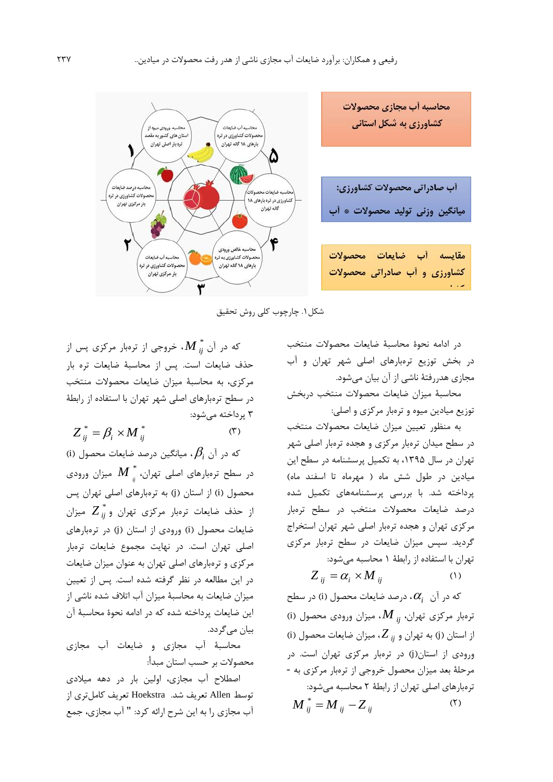

شکل.1 چارچوب کلی روش تحقیق

در ادامه نحوة محاسبة ضايعات محصوالت منتخب در بخش توزيع ترهبارهاي اصلی شهر تهران و آب مجازي هدررفتة ناشی از آن بیان میشود.

محاسبة میزان ضايعات محصوالت منتخب دربخش توزيع میادين میوه و ترهبار مرکزي و اصلی:

به منظور تعیین میزان ضايعات محصوالت منتخب در سطح میدان ترهبار مرکزي و هجده ترهبار اصلی شهر تهران در سال ،1395 به تکمیل پرسشنامه در سطح اين میادين در طول شش ماه ( مهرماه تا اسفند ماه) پرداخته شد. با بررسی پرسشنامههاي تکمیل شده درصد ضايعات محصوالت منتخب در سطح ترهبار مرکزي تهران و هجده ترهبار اصلی شهر تهران استخراج گرديد. سپس میزان ضايعات در سطح ترهبار مرکزي تهران با استفاده از رابطة 1 محاسبه میشود:

$$
Z_{ij} = \alpha_i \times M_{ij} \tag{1}
$$

که در آن *i* ، درصد ضايعات محصول )i )در سطح ترهبار مرکزي تهران، *M ij* ، میزان ورودي محصول )i ) از استان )j )به تهران و *Z ij* ، میزان ضايعات محصول )i ) ورودي از استان)j )در ترهبار مرکزي تهران است. در مرحلة بعد میزان محصول خروجی از ترهبار مرکزي به - ترهبارهاي اصلی تهران از رابطة 2 محاسبه میشود:  $(5)$  $M^{\text{*}}_{ij} = M_{\text{ij}} - Z_{\text{ij}}$ 

که در آن \* *M ij* ، خروجی از ترهبار مرکزي پس از حذف ضايعات است. پس از محاسبة ضايعات تره بار مرکزي، به محاسبة میزان ضايعات محصوالت منتخب در سطح ترهبارهاي اصلی شهر تهران با استفاده از رابطة 3 پرداخته میشود:

 $(1)$  $Z_{ii}^* = \beta_i \times M_{ii}^*$ 

که در آن *i* ، میانگین درصد ضايعات محصول )i ) در سطح ترهبارهاي اصلی تهران، \* *M ij* میزان ورودي محصول )i )از استان )j )به ترهبارهاي اصلی تهران پس از حذف ضايعات ترهبار مرکزي تهران و \* *Z ij* میزان ضايعات محصول )i )ورودي از استان )j )در ترهبارهاي اصلی تهران است. در نهايت مجموع ضايعات ترهبار مرکزي و ترهبارهاي اصلی تهران به عنوان میزان ضايعات در اين مطالعه در نظر گرفته شده است. پس از تعیین میزان ضايعات به محاسبة میزان آب اتالف شده ناشی از اين ضايعات پرداخته شده که در ادامه نحوة محاسبة آن بیان میگردد.

محاسبة آب مجازي و ضايعات آب مجازي محصوالت بر حسب استان مبدأ:

اصطالح آب مجازي، اولین بار در دهه میالدي توسط Allen تعريف شد. Hoekstra تعريف کاملتري از آب مجازي را به اين شرح ارائه کرد: " آب مجازي، جمع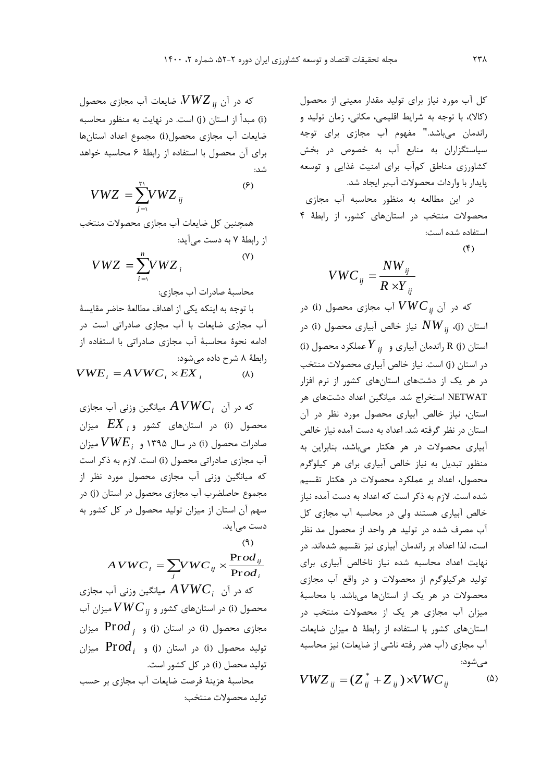کل آب مورد نیاز براي تولید مقدار معینی از محصول (کالا)، با توجه به شرايط اقليمي، مکاني، زمان توليد و راندمان میباشد." مفهوم آب مجازي براي توجه سیاستگزاران به منابع آب به خصوص در بخش کشاورزي مناطق کمآب براي امنیت غذايی و توسعه پايدار با واردات محصوالت آببر ايجاد شد.

در اين مطالعه به منظور محاسبه آب مجازي محصوالت منتخب در استانهاي کشور، از رابطة 4 استفاده شده است:

$$
(\mathfrak{f})
$$

$$
VWC_{ij} = \frac{NW_{ij}}{R \times Y_{ij}}
$$

که در آن *V WCij* آب مجازي محصول )i )در ستان (j)،  $\overline{N}W_{ij}$  نیاز خالص آبیاری محصول (i) در استان )j )R راندمان آبیاري و *Y ij* عملکرد محصول )i) در استان )j )است. نیاز خالص آبیاري محصوالت منتخب در هر يک از دشتهاي استانهاي کشور از نرم افزار NETWAT استخراج شد. میانگین اعداد دشتهاي هر استان، نیاز خالص آبیاري محصول مورد نظر در آن استان در نظر گرفته شد. اعداد به دست آمده نیاز خالص آبیاري محصوالت در هر هکتار میباشد، بنابراين به منظور تبديل به نیاز خالص آبیاري براي هر کیلوگرم محصول، اعداد بر عملکرد محصوالت در هکتار تقسیم شده است. الزم به ذکر است که اعداد به دست آمده نیاز خالص آبیاري هستند ولی در محاسبه آب مجازي کل آب مصرف شده در تولید هر واحد از محصول مد نظر است، لذا اعداد بر راندمان آبیاري نیز تقسیم شدهاند. در نهايت اعداد محاسبه شده نیاز ناخالص آبیاري براي تولید هرکیلوگرم از محصوالت و در واقع آب مجازي محصوالت در هر يک از استانها میباشد. با محاسبة میزان آب مجازي هر يک از محصوالت منتخب در استانهاي کشور با استفاده از رابطة 5 میزان ضايعات آب مجازي (آب هدر رفته ناشي از ضايعات) نيز محاسبه میشود:

$$
VWZ_{ij} = (Z_{ij}^* + Z_{ij}) \times VWC_{ij}
$$
 (۵)

که در آن *VWZ ij* ، ضايعات آب مجازي محصول )i )مبدأ از استان )j )است. در نهايت به منظور محاسبه ضايعات آب مجازي محصول)i )مجموع اعداد استانها براي آن محصول با استفاده از رابطة 6 محاسبه خواهد شد:

$$
VWZ = \sum_{j=1}^{r_1} VWZ_{ij}
$$

همچنین کل ضايعات آب مجازي محصوالت منتخب از رابطة 7 به دست میآيد:

$$
VWZ = \sum_{i=1}^{n} VWZ_i
$$
 (Y)

محاسبة صادرات آب مجازي:

با توجه به اينکه يکی از اهداف مطالعة حاضر مقايسة آب مجازي ضايعات با آب مجازي صادراتی است در ادامه نحوة محاسبة آب مجازي صادراتی با استفاده از رابطة 8 شرح داده میشود:

 $(\lambda)$  $VWE_i = AVWC_i \times EX_i$ 

که در آن *AVWC<sup>i</sup>* میانگین وزنی آب مجازي محصول )i )در استانهاي کشور و *EX <sup>i</sup>* میزان صادرات محصول )i )در سال 1395 و *VWE<sup>i</sup>* میزان آب مجازي صادراتی محصول )i )است. الزم به ذکر است که میانگین وزنی آب مجازي محصول مورد نظر از مجموع حاصلضرب آب مجازي محصول در استان (j) در سهم آن استان از میزان تولید محصول در کل کشور به دست میآيد.

$$
AVWC_i = \sum_{j} VWC_{ij} \times \frac{\text{Prod}_{ij}}{\text{Prod}_{i}}
$$

که در آن *AVWC<sup>i</sup>* میانگین وزنی آب مجازي محصول )i )در استانهاي کشور و *V WCij* میزان آب مجازی محصول (i) در استان (j) و Pr*od* <sub>i</sub> میزان تولید محصول (i) در استان (j) و Pr*od* <sub>i</sub> میزان تولید محصل (i) در کل کشور است. محاسبة هزينة فرصت ضايعات آب مجازي بر حسب تولید محصوالت منتخب: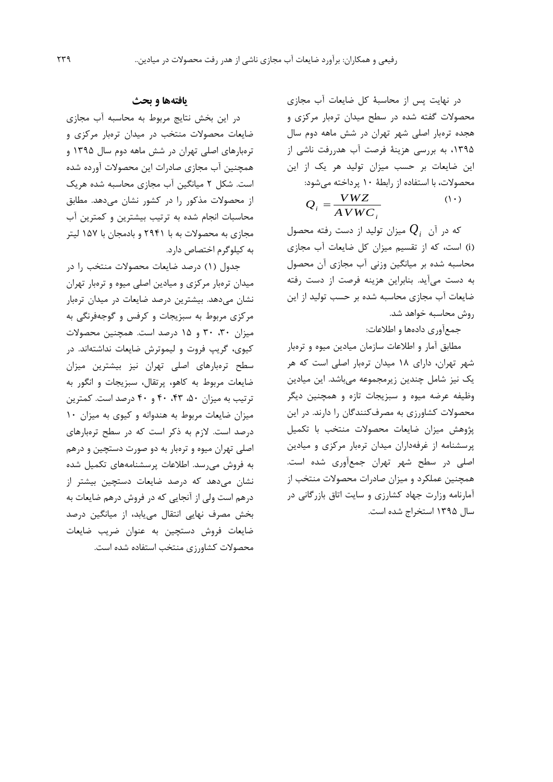در نهايت پس از محاسبة کل ضايعات آب مجازي محصوالت گفته شده در سطح میدان ترهبار مرکزي و هجده ترهبار اصلی شهر تهران در شش ماهه دوم سال ،1395 به بررسی هزينة فرصت آب هدررفت ناشی از اين ضايعات بر حسب میزان تولید هر يک از اين محصوالت، با استفاده از رابطة 10 پرداخته میشود:

$$
Q_i = \frac{VWZ}{AVWC_i} \tag{1)}
$$

که در آن *Qi* میزان تولید از دست رفته محصول )i )است، که از تقسیم میزان کل ضايعات آب مجازي محاسبه شده بر میانگین وزنی آب مجازي آن محصول به دست میآيد. بنابراين هزينه فرصت از دست رفته ضايعات آب مجازي محاسبه شده بر حسب تولید از اين روش محاسبه خواهد شد.

جمعآوري دادهها و اطالعات:

مطابق آمار و اطالعات سازمان میادين میوه و ترهبار شهر تهران، داراي 18 میدان ترهبار اصلی است که هر يک نیز شامل چندين زيرمجموعه میباشد. اين میادين وظیفه عرضه میوه و سبزيجات تازه و همچنین ديگر محصوالت کشاورزي به مصرفکنندگان را دارند. در اين پژوهش میزان ضايعات محصوالت منتخب با تکمیل پرسشنامه از غرفهداران میدان ترهبار مرکزي و میادين اصلی در سطح شهر تهران جمعآوري شده است. همچنین عملکرد و میزان صادرات محصوالت منتخب از آمارنامه وزارت جهاد کشارزي و سايت اتاق بازرگانی در سال 1395 استخراج شده است.

## **یافتهها و بحث**

در اين بخش نتايج مربوط به محاسبه آب مجازي ضايعات محصوالت منتخب در میدان ترهبار مرکزي و ترهبارهاي اصلی تهران در شش ماهه دوم سال 1395 و همچنین آب مجازي صادرات اين محصوالت آورده شده است. شکل 2 میانگین آب مجازي محاسبه شده هريک از محصوالت مذکور را در کشور نشان میدهد. مطابق محاسبات انجام شده به ترتیب بیشترين و کمترين آب مجازي به محصوالت به با 2941 و بادمجان با 157 لیتر به کیلوگرم اختصاص دارد.

جدول (١) درصد ضايعات محصولات منتخب را در میدان ترهبار مرکزي و میادين اصلی میوه و ترهبار تهران نشان میدهد. بیشترين درصد ضايعات در میدان ترهبار مرکزي مربوط به سبزيجات و کرفس و گوجهفرنگی به میزان ،30 30 و 15 درصد است. همچنین محصوالت کیوي، گريپ فروت و لیموترش ضايعات نداشتهاند. در سطح ترهبارهاي اصلی تهران نیز بیشترين میزان ضايعات مربوط به کاهو، پرتقال، سبزيجات و انگور به ترتیب به میزان ،50 ،43 40 و 40 درصد است. کمترين میزان ضايعات مربوط به هندوانه و کیوي به میزان 10 درصد است. الزم به ذکر است که در سطح ترهبارهاي اصلی تهران میوه و ترهبار به دو صورت دستچین و درهم به فروش میرسد. اطالعات پرسشنامههاي تکمیل شده نشان میدهد که درصد ضايعات دستچین بیشتر از درهم است ولی از آنجايی که در فروش درهم ضايعات به بخش مصرف نهايی انتقال میيابد، از میانگین درصد ضايعات فروش دستچین به عنوان ضريب ضايعات محصوالت کشاورزي منتخب استفاده شده است.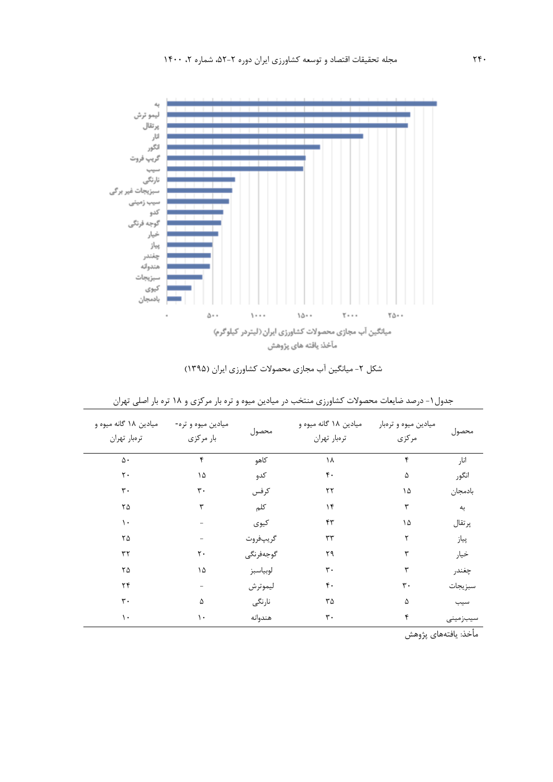

| شکل ۲- میانگین آب مجازی محصولات کشاورزی ایران (۱۳۹۵) |  |  |  |
|------------------------------------------------------|--|--|--|
|------------------------------------------------------|--|--|--|

| میادین ۱۸ گانه میوه و<br>ترەبار تهران | میادین میوه و تره-<br>بار مركزي | محصول     | میادین ۱۸ گانه میوه و<br>ترەبار تهران | میادین میوه و ترهبار<br>مركزى | محصول    |
|---------------------------------------|---------------------------------|-----------|---------------------------------------|-------------------------------|----------|
| ۵.                                    | ۴                               | كاهو      | ۱۸                                    | ۴                             | انار     |
| $\mathsf{r}\cdot$                     | ۱۵                              | كدو       | ۴٠                                    | ۵                             | انگور    |
| $\mathbf{r}$ .                        | $\mathbf{r}$ .                  | كرفس      | ۲۲                                    | ۱۵                            | بادمجان  |
| ٢۵                                    | ٣                               | كلم       | ۱۴                                    | ٣                             | به       |
| ١.                                    |                                 | كيوى      | ۴۳                                    | ۱۵                            | پرتقال   |
| ٢۵                                    |                                 | گريپفروت  | ٣٣                                    | ۲                             | پياز     |
| ٣٢                                    | $\mathsf{r}$ .                  | گوجەفرنگى | ۲۹                                    | ٣                             | خيار     |
| ۲۵                                    | ۱۵                              | لوبياسبز  | ٣٠                                    | ٣                             | چغندر    |
| ۲۴                                    |                                 | ليموترش   | ۴٠                                    | $\mathsf{r}\cdot$             | سبزيجات  |
| $\mathbf{r}$ .                        | ۵                               | نارنگى    | ٣۵                                    | ۵                             | سيب      |
| ١.                                    | ١.                              | هندوانه   | ٣٠                                    | ۴                             | سيبزمينى |

جدول-1 درصد ضايعات محصوالت کشاورزي منتخب در میادين میوه و تره بار مرکزي و 18 تره بار اصلی تهران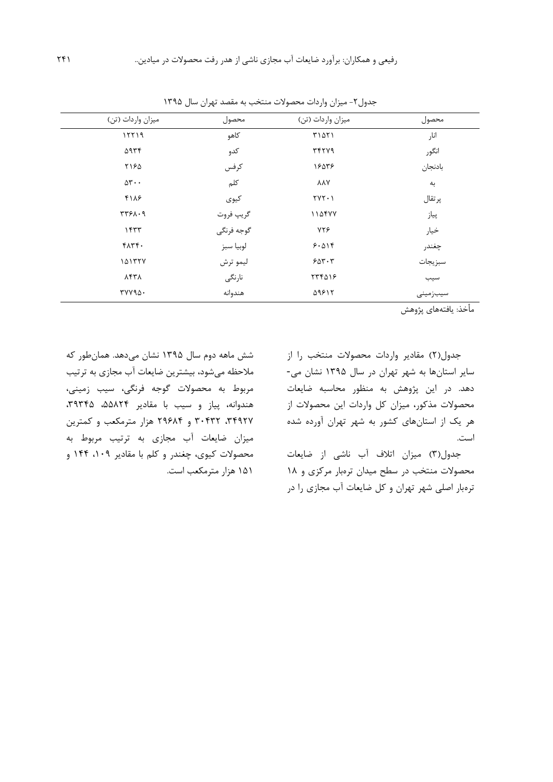| میزان واردات (تن)               | محصول      | میزان واردات (تن) | محصول    |
|---------------------------------|------------|-------------------|----------|
| 15719                           | كاهو       | ۳۱۵۲۱             | انار     |
| ۵۹۳۴                            | كدو        | <b>٣۴٢٧٩</b>      | انگور    |
| ۲۱۶۵                            | كرفس       | 18548             | بادنجان  |
| $\Delta \mathbf{r} \cdot \cdot$ | كلم        | <b>AAY</b>        | به       |
| 4118                            | كيوى       | $YYY \cdot Y$     | پرتقال   |
| 3781.9                          | گريپ فروت  | 114477            | پياز     |
| ۱۴۳۳                            | گوجه فرنگی | YYF               | خيار     |
| $f\wedge f$ .                   | لوبيا سبز  | 9.019             | چغندر    |
| 101557                          | ليمو ترش   | 200.7             | سبزيجات  |
| <b>AFTA</b>                     | نارنگى     | 774018            | سيب      |
| $rrvva\Delta$ .                 | هندوانه    | 11817             | سيبزمينى |

جدول ٢- میزان واردات محصولات منتخب به مقصد تهران سال ١٣٩۵

جدول)2( مقادير واردات محصوالت منتخب را از ساير استانها به شهر تهران در سال 1395 نشان می- دهد. در اين پژوهش به منظور محاسبه ضايعات محصوالت مذکور، میزان کل واردات اين محصوالت از هر يک از استانهاي کشور به شهر تهران آورده شده است.

جدول)3( میزان اتالف آب ناشی از ضايعات محصوالت منتخب در سطح میدان ترهبار مرکزي و 18 ترهبار اصلی شهر تهران و کل ضايعات آب مجازي را در

شش ماهه دوم سال 1395 نشان میدهد. همانطور که مالحظه میشود، بیشترين ضايعات آب مجازي به ترتیب مربوط به محصوالت گوجه فرنگی، سیب زمینی، هندوانه، پیاز و سیب با مقادیر ۵۵۸۲۴ ، ۳۹۳۴۵، ،34927 30432 و 29684 هزار مترمکعب و کمترين میزان ضايعات آب مجازي به ترتیب مربوط به محصوالت کیوي، چغندر و کلم با مقادير ،109 144 و 151 هزار مترمکعب است.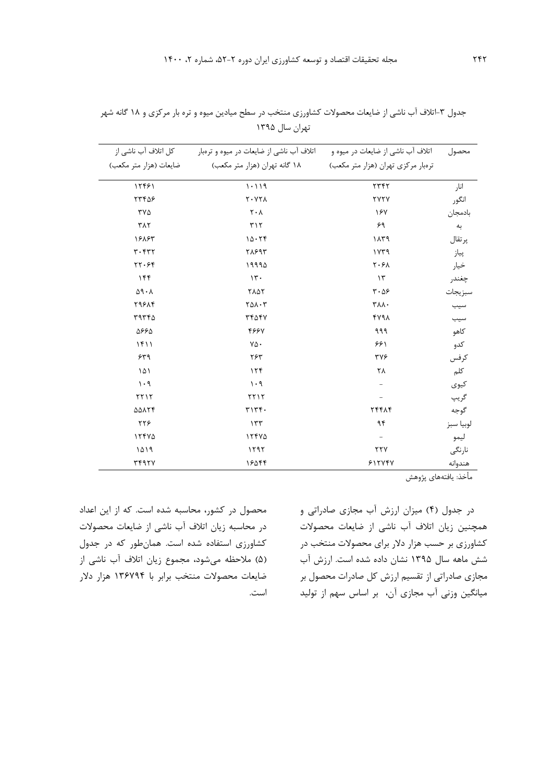| تهران سال ۱۳۹۵                           |                                    |          |
|------------------------------------------|------------------------------------|----------|
| اتلاف آب ناشی از ضایعات در میوه و ترهبار | اتلاف آب ناشی از ضایعات در میوه و  | محصول    |
| ۱۸ گانه تهران (هزار متر مکعب)            | ترهبار مرکزی تهران (هزار متر مکعب) |          |
| 1.119                                    | ۲۳۴۲                               | انا,     |
| Y. YY                                    | <b>TYTY</b>                        | انگور    |
| $\mathsf{r} \cdot \mathsf{v}$            | ۱۶۷                                | بادمجان  |
| ۳۱۲                                      | ۶۹                                 | به       |
| ۱۵۰۲۴                                    | ۱۸۳۹                               | پر تقال  |
| ۳۸۶۹۳                                    | ۱۷۳۹                               | پياز     |
| <b>1999A</b>                             | Y:GA                               | $\cdots$ |

جدول ۳-اتلاف آب ناشی از ضايعات محصولات کشاورزي منتخب در سطح ميادين ميوه و تره بار مرکزي و ۱۸ گانه شهر

| 12481                                                        | 1.119                         | 5777                          | انار         |
|--------------------------------------------------------------|-------------------------------|-------------------------------|--------------|
| ۲۳۴۵۶                                                        | $Y \cdot YY \wedge$           | <b>TYTY</b>                   | انگور        |
| ۳۷۵                                                          | $\mathsf{r} \cdot \mathsf{v}$ | 187                           | بادمجان      |
| $\tau \wedge \tau$                                           | $\tau\wedge\tau$              | ۶۹                            | به           |
| 18883                                                        | 10.79                         | ۱۸۳۹                          | پر تقال      |
| $r \cdot r r r$                                              | <b>7897</b>                   | ۱۷۳۹                          | پياز         |
| 57.99                                                        | 19990                         | $\mathbf{Y} \cdot \mathbf{Y}$ | خيار         |
| ۱۴۴                                                          | $\mathcal{N}$ .               | $\mathcal{N}$                 | چغندر        |
| $\Delta\mathop{\boldsymbol\Lambda}\cdot\boldsymbol{\Lambda}$ | <b>٢٨٥٢</b>                   | $r \cdot \Delta \mathcal{F}$  | سبزيجات      |
| 79814                                                        | $Y \Delta \Lambda \cdot Y$    | ۳۸۸.                          | سيب          |
| ۳۹۳۴۵                                                        | 3447                          | YY9A                          | سيب          |
| 5660                                                         | 4884                          | ۹۹۹                           | كاهو         |
| 1511                                                         | ٧۵٠                           | ۶۶۱                           | كدو          |
| ۶۳۹                                                          | ۲۶۳                           | ٣٧۶                           | كرفس         |
| ۱۵۱                                                          | 156                           | ٢٨                            | كلم          |
| $1 \cdot 9$                                                  | $1 \cdot 9$                   | $\overline{\phantom{0}}$      | كيوى         |
| $YY1Y$                                                       | $YY1Y$                        | -                             |              |
| <b>AAATF</b>                                                 | T177.                         | <b>TFFAF</b>                  | گريپ<br>گوجه |
| ۲۲۶                                                          | 157                           | $\gamma\gamma$                | لوبيا سبز    |
| 15500                                                        | 15500                         | $\overline{\phantom{a}}$      | ليمو         |
| ۱۵۱۹                                                         | 1597                          | $\tau\tau\gamma$              | نارنگى       |
| <b>٣۴٩٢٧</b>                                                 | ۱۶۵۴۴                         | 517797                        | هندوانه      |

در جدول )4( میزان ارزش آب مجازي صادراتی و همچنین زيان اتالف آب ناشی از ضايعات محصوالت کشاورزي بر حسب هزار دالر براي محصوالت منتخب در شش ماهه سال 1395 نشان داده شده است. ارزش آب مجازي صادراتی از تقسیم ارزش کل صادرات محصول بر میانگین وزنی آب مجازي آن، بر اساس سهم از تولید

محصول در کشور، محاسبه شده است. که از اين اعداد در محاسبه زيان اتالف آب ناشی از ضايعات محصوالت کشاورزي استفاده شده است. همانطور که در جدول )5( مالحظه میشود، مجموع زيان اتالف آب ناشی از ضايعات محصوالت منتخب برابر با 136794 هزار دالر است.

کل اتالف آب ناشی از ضايعات (هزار متر مکعب)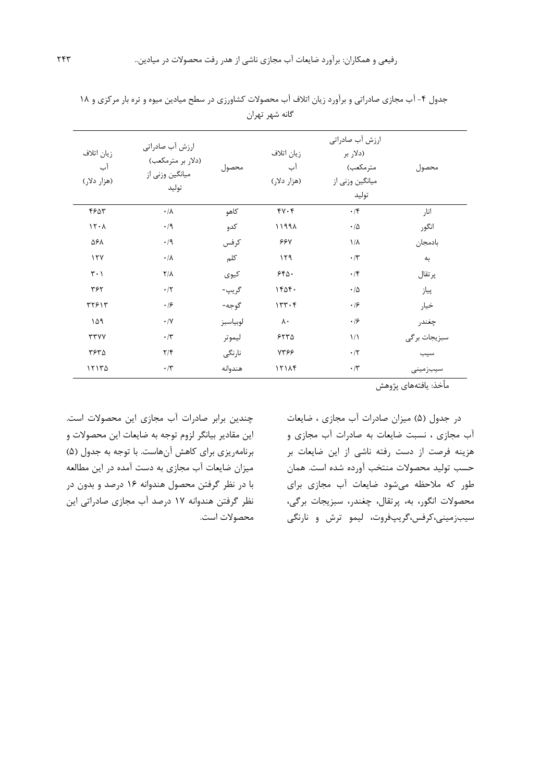| زيان اتلاف<br>آب<br>(هزار دلار) | ارزش آب صادراتی<br>(دلار بر مترمکعب)<br>میانگین وزنی از<br>توليد | محصول    | زيان اتلاف<br>آب<br>(هزار دلار) | ارزش آب صادراتی<br>(دلار بر<br>مترمكعب)<br>میانگین وزنی از<br>توليد | محصول        |
|---------------------------------|------------------------------------------------------------------|----------|---------------------------------|---------------------------------------------------------------------|--------------|
| ۴۶۵۳                            | $\cdot/\lambda$                                                  | كاهو     | $fV \cdot f$                    | $\cdot$ /۴                                                          | انار         |
| 15.1                            | $\cdot$ /9                                                       | كدو      | 11991                           | $\cdot/\Delta$                                                      | انگور        |
| ۵۶۸                             | $\cdot/9$                                                        | كرفس     | <b>667</b>                      | $1/\lambda$                                                         | بادمجان      |
| 17Y                             | $\cdot/\lambda$                                                  | كلم      | ۱۲۹                             | $\cdot/\tau$                                                        | به           |
| $\mathbf{r} \cdot \mathbf{1}$   | $Y/\lambda$                                                      | كيوى     | 550.                            | $\cdot$ /۴                                                          | پر تقال      |
| ٣۶٢                             | $\cdot$ /٢                                                       | گريپ-    | 1606.                           | $\cdot/\Delta$                                                      | پياز         |
| ۳۲۶۱۳                           | $\cdot$ /۶                                                       | گوجه-    | 157.5                           | $\cdot$ /۶                                                          | خيار         |
| ۱۵۹                             | $\cdot/\Upsilon$                                                 | لوبياسبز | $\lambda \cdot$                 | $\cdot$ /۶                                                          | چغندر        |
| <b>TTYY</b>                     | $\cdot/\tau$                                                     | ليموتر   | 5570                            | $\frac{1}{2}$                                                       | سبزيجات برگى |
| ۳۶۳۵                            | $\frac{1}{\sqrt{2}}$                                             | نارنگى   | 7398                            | $\cdot/7$                                                           | سيب          |
| 17170                           | $\boldsymbol{\cdot}$ /٣                                          | هندوانه  | 151AT                           | $\cdot/\tau$                                                        | سيبزمينى     |

جدول ۴- آب مجازي صادراتي و برآورد زيان اتلاف آب محصولات كشاورزي در سطح ميادين ميوه و تره بار مركزي و ١٨ گانه شهر تهران

در جدول )5( میزان صادرات آب مجازي ، ضايعات آب مجازي ، نسبت ضايعات به صادرات آب مجازي و هزينه فرصت از دست رفته ناشی از اين ضايعات بر حسب تولید محصوالت منتخب آورده شده است. همان طور که مالحظه میشود ضايعات آب مجازي براي محصوالت انگور، به، پرتقال، چغندر، سبزيجات برگی، سیبزمینی،کرفس،گريپفروت، لیمو ترش و نارنگی

چندين برابر صادرات آب مجازي اين محصوالت است. اين مقادير بیانگر لزوم توجه به ضايعات اين محصوالت و برنامهريزي براي كاهش آنهاست. با توجه به جدول (۵) میزان ضايعات آب مجازي به دست آمده در اين مطالعه با در نظر گرفتن محصول هندوانه 16 درصد و بدون در نظر گرفتن هندوانه 17 درصد آب مجازي صادراتی اين محصوالت است.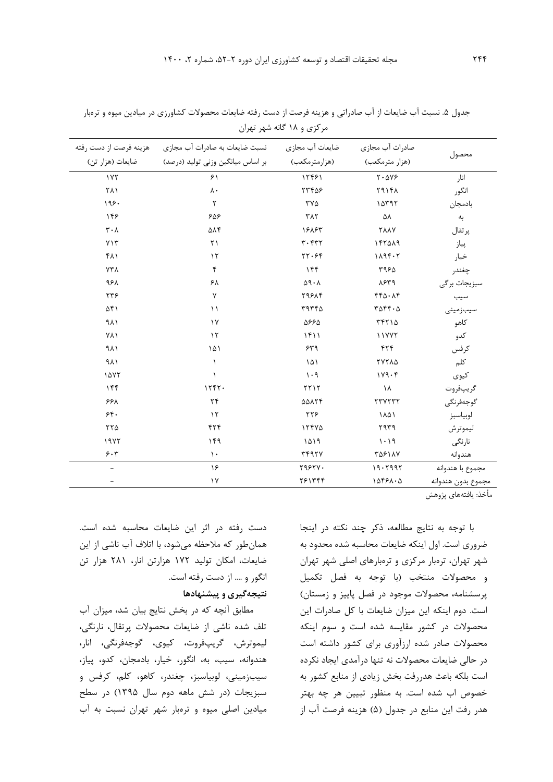| هزينه فرصت از دست رفته        | ضایعات آب مجازی مسبت ضایعات به صادرات آب مجازی<br>بر اساس ميانگين وزني توليد (درصد) منايعات (هزار تن) | (هزارمترمكعب)                           | صادرات آب مجازى<br>(هزار مترمكعب)            | محصول              |
|-------------------------------|-------------------------------------------------------------------------------------------------------|-----------------------------------------|----------------------------------------------|--------------------|
| 1Y <sub>Y</sub>               | 51                                                                                                    | 12481                                   | $Y \cdot \Delta V$ ۶                         | انار               |
| ۲۸۱                           | $\lambda \cdot$                                                                                       | 77408                                   | 791FA                                        | انگور              |
| 198.                          | $\mathsf{r}$                                                                                          | ۳۷۵                                     | 10797                                        | بادمجان            |
| ۱۴۶                           | ۶۵۶                                                                                                   | <b>٣٨٢</b>                              | ۵۸                                           | به                 |
| $\mathbf{r} \cdot \mathbf{v}$ | ۵۸۴                                                                                                   | 18885                                   | <b>TAAY</b>                                  | پرتقال             |
| YY                            | $\uparrow$                                                                                            | $r \cdot r r r$                         | 147019                                       | پياز               |
| ۴۸۱                           | $\gamma$                                                                                              | rr.99                                   | 1196.7                                       | خيار               |
| $Y\mathsf{Y}\Lambda$          | $\mathfrak{f}$                                                                                        | ۱۴۴                                     | ۳۹۶۵                                         | چغندر              |
| ۹۶۸                           | ۶۸                                                                                                    | $\Delta$ 9 . $\Lambda$                  | ۸۶۳۹                                         | سبزيجات برگى       |
| ۲۳۶                           | γ                                                                                                     | <b>79814</b>                            | $FF\Delta \cdot \Delta f$                    | سيب                |
| ۵۴۱                           | $\setminus$                                                                                           | ۳۹۳۴۵                                   | $T\Delta \mathbf{f} \mathbf{f} \cdot \Delta$ | سيبزمينى           |
| ۹۸۱                           | $\gamma$                                                                                              | 5668                                    | ۳۴۲۱۵                                        | كاهو               |
| VVI                           | $\lambda$                                                                                             | 1511                                    | 11777                                        | كدو                |
| ۹۸۱                           | ۱۵۱                                                                                                   | ۶۳۹                                     | ۴۲۴                                          | كرفس               |
| 9 <sub>A</sub>                | $\lambda$                                                                                             | $\backslash \, \triangle \, \backslash$ | <b>TYTA4</b>                                 | كلم                |
| 1477                          | $\lambda$                                                                                             | $\cdot$ 9                               | 119.6                                        | كيوى               |
| 156                           | 1557.                                                                                                 | 5515                                    | ١٨                                           | گريپفروت           |
| ۶۶۸                           | ٢۴                                                                                                    | <b>AAATF</b>                            | TTYTTT                                       | گوجەفرنگى          |
| 5.6                           | $\gamma$                                                                                              | ۲۲۶                                     | ١٨۵١                                         | لوبياسبز           |
| $\tau\tau\Delta$              | ۴۲۴                                                                                                   | 15500                                   | ۲۹۳۹                                         | ليموترش            |
| 1977                          | 149                                                                                                   | 1019                                    | 1.19                                         | نارنگى             |
| 5.7                           | $\lambda$ .                                                                                           | <b>٣۴٩٢٧</b>                            | <b>٣۵۶١٨٧</b>                                | هندوانه            |
|                               | ۱۶                                                                                                    | Y95YY.                                  | 19.7997                                      | مجموع با هندوانه   |
|                               | $\gamma$                                                                                              | ٢۶١٣۴۴                                  | 10591.0                                      | مجموع بدون هندوانه |
|                               |                                                                                                       |                                         |                                              |                    |

جدول ۵. نسبت آب ضايعات از آب صادراتی و هزينه فرصت از دست رفته ضايعات محصولات كشاورزي در ميادين ميوه و ترهبار مرکزي و 18 گانه شهر تهران

با توجه به نتايج مطالعه، ذکر چند نکته در اينجا ضروري است. اول اينکه ضايعات محاسبه شده محدود به شهر تهران، ترهبار مرکزي و ترهبارهاي اصلی شهر تهران و محصوالت منتخب )با توجه به فصل تکمیل پرسشنامه، محصولات موجود در فصل پاييز و زمستان) است. دوم اينکه اين میزان ضايعات با کل صادرات اين محصوالت در کشور مقايسه شده است و سوم اينکه محصوالت صادر شده ارزآوري براي کشور داشته است در حالی ضايعات محصوالت نه تنها درآمدي ايجاد نکرده است بلکه باعث هدررفت بخش زيادي از منابع کشور به خصوص اب شده است. به منظور تبیین هر چه بهتر هدر رفت اين منابع در جدول (۵) هزينه فرصت آب از

دست رفته در اثر اين ضايعات محاسبه شده است. همانطور که مالحظه میشود، با اتالف آب ناشی از اين ضايعات، امکان تولید 172 هزارتن انار، 281 هزار تن انگور و .... از دست رفته است. **نتیجهگیری و پیشنهادها**

مطابق آنچه که در بخش نتايج بیان شد، میزان آب تلف شده ناشی از ضايعات محصوالت پرتقال، نارنگی، لیموترش، گريپفروت، کیوي، گوجهفرنگی، انار، هندوانه، سیب، به، انگور، خیار، بادمجان، کدو، پیاز، سیبزمینی، لوبیاسبز، چغندر، کاهو، کلم، کرفس و سبزيجات )در شش ماهه دوم سال 1395( در سطح میادين اصلی میوه و ترهبار شهر تهران نسبت به آب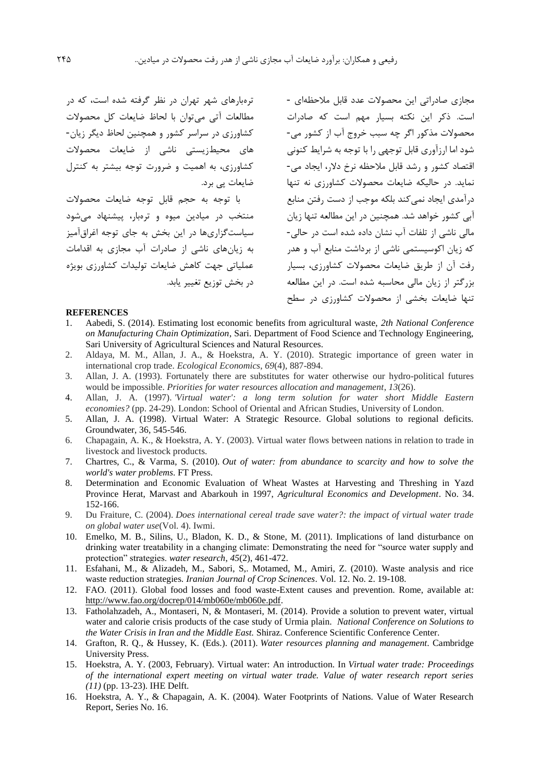مجازي صادراتی اين محصوالت عدد قابل مالحظهاي - است. ذکر اين نکته بسیار مهم است که صادرات محصوالت مذکور اگر چه سبب خروج آب از کشور می- شود اما ارزآوري قابل توجهی را با توجه به شرايط کنونی اقتصاد کشور و رشد قابل مالحظه نرخ دالر، ايجاد می- نمايد. در حالیکه ضايعات محصوالت کشاورزي نه تنها درآمدي ايجاد نمیکند بلکه موجب از دست رفتن منابع آبی کشور خواهد شد. همچنین در اين مطالعه تنها زيان مالی ناشی از تلفات آب نشان داده شده است در حالی- که زيان اکوسیستمی ناشی از برداشت منابع آب و هدر رفت آن از طريق ضايعات محصوالت کشاورزي، بسیار بزرگتر از زيان مالی محاسبه شده است. در اين مطالعه ترهبارهاي شهر تهران در نظر گرفته شده است، که در مطالعات آتی میتوان با لحاظ ضايعات کل محصوالت کشاورزي در سراسر کشور و همچنین لحاظ ديگر زيان- هاي محیطزيستی ناشی از ضايعات محصوالت کشاورزي، به اهمیت و ضرورت توجه بیشتر به کنترل ضايعات پی برد. با توجه به حجم قابل توجه ضايعات محصوالت منتخب در میادين میوه و ترهبار، پیشنهاد میشود سیاستگزاريها در اين بخش به جاي توجه اغراقآمیز به زيانهاي ناشی از صادرات آب مجازي به اقدامات عملیاتی جهت کاهش ضايعات تولیدات کشاورزي بويژه در بخش توزيع تغییر يابد.

### **REFERENCES**

1. Aabedi, S. (2014). Estimating lost economic benefits from agricultural waste, *2th National Conference on Manufacturing Chain Optimization*, Sari. Department of Food Science and Technology Engineering, Sari University of Agricultural Sciences and Natural Resources.

تنها ضايعات بخشی از محصوالت کشاورزي در سطح

- 2. Aldaya, M. M., Allan, J. A., & Hoekstra, A. Y. (2010). Strategic importance of green water in international crop trade. *Ecological Economics*, *69*(4), 887-894.
- 3. Allan, J. A. (1993). Fortunately there are substitutes for water otherwise our hydro-political futures would be impossible. *Priorities for water resources allocation and management*, *13*(26).
- 4. Allan, J. A. (1997). *'Virtual water': a long term solution for water short Middle Eastern economies?* (pp. 24-29). London: School of Oriental and African Studies, University of London.
- 5. Allan, J. A. (1998). Virtual Water: A Strategic Resource. Global solutions to regional deficits. Groundwater, 36, 545-546.
- 6. Chapagain, A. K., & Hoekstra, A. Y. (2003). Virtual water flows between nations in relation to trade in livestock and livestock products.
- 7. Chartres, C., & Varma, S. (2010). *Out of water: from abundance to scarcity and how to solve the world's water problems*. FT Press.
- 8. Determination and Economic Evaluation of Wheat Wastes at Harvesting and Threshing in Yazd Province Herat, Marvast and Abarkouh in 1997, *Agricultural Economics and Development*. No. 34. 152-166.
- 9. Du Fraiture, C. (2004). *Does international cereal trade save water?: the impact of virtual water trade on global water use*(Vol. 4). Iwmi.
- 10. Emelko, M. B., Silins, U., Bladon, K. D., & Stone, M. (2011). Implications of land disturbance on drinking water treatability in a changing climate: Demonstrating the need for "source water supply and protection" strategies. *water research*, *45*(2), 461-472.
- 11. Esfahani, M., & Alizadeh, M., Sabori, S,. Motamed, M., Amiri, Z. (2010). Waste analysis and rice waste reduction strategies*. Iranian Journal of Crop Scinences*. Vol. 12. No. 2. 19-108.
- <span id="page-16-0"></span>12. FAO. (2011). Global food losses and food waste-Extent causes and prevention. Rome, available at: http://www.fao.org/docrep/014/mb060e/mb060e.pdf.
- 13. Fatholahzadeh, A., Montaseri, N, & Montaseri, M. (2014). Provide a solution to prevent water, virtual water and calorie crisis products of the case study of Urmia plain. *National Conference on Solutions to the Water Crisis in Iran and the Middle East.* Shiraz. Conference Scientific Conference Center.
- 14. Grafton, R. Q., & Hussey, K. (Eds.). (2011). *Water resources planning and management*. Cambridge University Press.
- 15. Hoekstra, A. Y. (2003, February). Virtual water: An introduction. In *Virtual water trade: Proceedings of the international expert meeting on virtual water trade. Value of water research report series (11)* (pp. 13-23). IHE Delft.
- 16. Hoekstra, A. Y., & Chapagain, A. K. (2004). Water Footprints of Nations. Value of Water Research Report, Series No. 16.